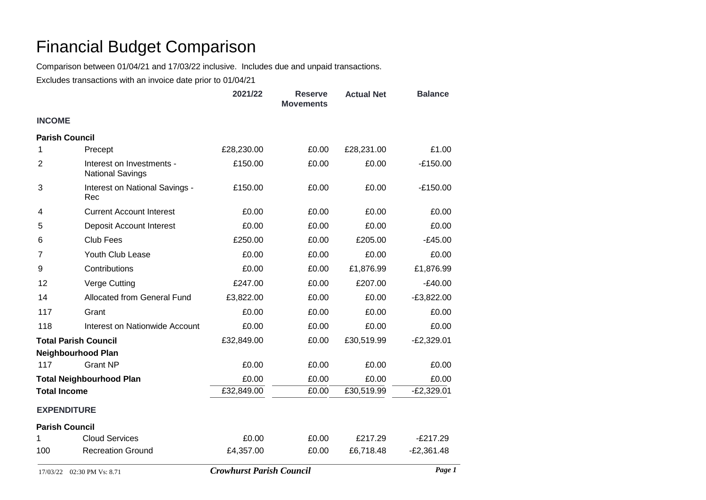## Financial Budget Comparison

Comparison between 01/04/21 and 17/03/22 inclusive. Includes due and unpaid transactions.

Excludes transactions with an invoice date prior to 01/04/21

|                                 |                                                      | 2021/22                         | <b>Reserve</b><br><b>Movements</b> | <b>Actual Net</b> | <b>Balance</b> |  |  |
|---------------------------------|------------------------------------------------------|---------------------------------|------------------------------------|-------------------|----------------|--|--|
| <b>INCOME</b>                   |                                                      |                                 |                                    |                   |                |  |  |
| <b>Parish Council</b>           |                                                      |                                 |                                    |                   |                |  |  |
| 1                               | Precept                                              | £28,230.00                      | £0.00                              | £28,231.00        | £1.00          |  |  |
| $\overline{2}$                  | Interest on Investments -<br><b>National Savings</b> | £150.00                         | £0.00                              | £0.00             | $-£150.00$     |  |  |
| 3                               | Interest on National Savings -<br>Rec                | £150.00                         | £0.00                              | £0.00             | $-E150.00$     |  |  |
| 4                               | <b>Current Account Interest</b>                      | £0.00                           | £0.00                              | £0.00             | £0.00          |  |  |
| 5                               | <b>Deposit Account Interest</b>                      | £0.00                           | £0.00                              | £0.00             | £0.00          |  |  |
| 6                               | <b>Club Fees</b>                                     | £250.00                         | £0.00                              | £205.00           | $-E45.00$      |  |  |
| 7                               | Youth Club Lease                                     | £0.00                           | £0.00                              | £0.00             | £0.00          |  |  |
| 9                               | Contributions                                        | £0.00                           | £0.00                              | £1,876.99         | £1,876.99      |  |  |
| 12                              | Verge Cutting                                        | £247.00                         | £0.00                              | £207.00           | $-E40.00$      |  |  |
| 14                              | Allocated from General Fund                          | £3,822.00                       | £0.00                              | £0.00             | $-E3,822.00$   |  |  |
| 117                             | Grant                                                | £0.00                           | £0.00                              | £0.00             | £0.00          |  |  |
| 118                             | Interest on Nationwide Account                       | £0.00                           | £0.00                              | £0.00             | £0.00          |  |  |
| <b>Total Parish Council</b>     |                                                      | £32,849.00                      | £0.00                              | £30,519.99        | $-E2,329.01$   |  |  |
|                                 | <b>Neighbourhood Plan</b>                            |                                 |                                    |                   |                |  |  |
| 117                             | <b>Grant NP</b>                                      | £0.00                           | £0.00                              | £0.00             | £0.00          |  |  |
| <b>Total Neighbourhood Plan</b> |                                                      | £0.00                           | £0.00                              | £0.00             | £0.00          |  |  |
| <b>Total Income</b>             |                                                      | £32,849.00                      | £0.00                              | £30,519.99        | $-E2,329.01$   |  |  |
| <b>EXPENDITURE</b>              |                                                      |                                 |                                    |                   |                |  |  |
| <b>Parish Council</b>           |                                                      |                                 |                                    |                   |                |  |  |
| 1                               | <b>Cloud Services</b>                                | £0.00                           | £0.00                              | £217.29           | $-E217.29$     |  |  |
| 100                             | <b>Recreation Ground</b>                             | £4,357.00                       | £0.00                              | £6,718.48         | $-E2,361.48$   |  |  |
| 17/03/22 02:30 PM Vs: 8.71      |                                                      | <b>Crowhurst Parish Council</b> |                                    |                   | Page 1         |  |  |